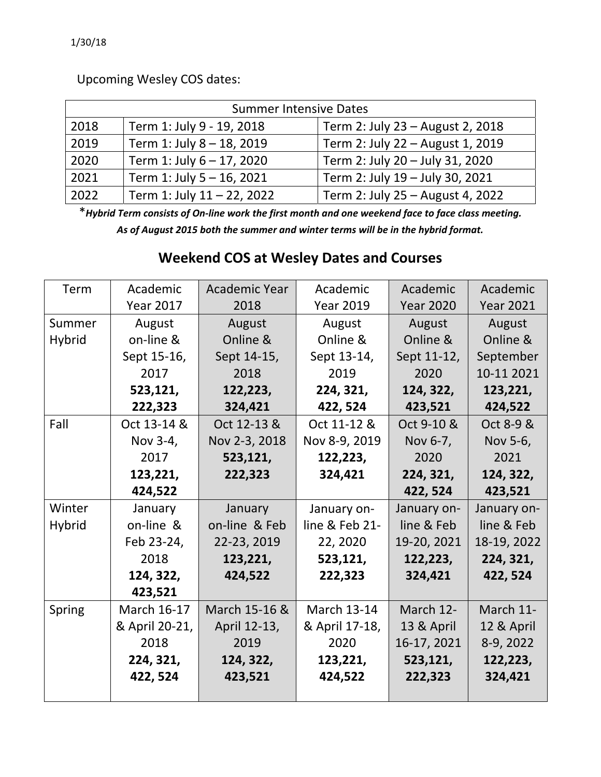Upcoming Wesley COS dates:

| <b>Summer Intensive Dates</b> |                            |                                  |  |  |  |  |
|-------------------------------|----------------------------|----------------------------------|--|--|--|--|
| 2018                          | Term 1: July 9 - 19, 2018  | Term 2: July 23 - August 2, 2018 |  |  |  |  |
| 2019                          | Term 1: July 8 - 18, 2019  | Term 2: July 22 - August 1, 2019 |  |  |  |  |
| 2020                          | Term 1: July 6 - 17, 2020  | Term 2: July 20 - July 31, 2020  |  |  |  |  |
| 2021                          | Term 1: July 5 - 16, 2021  | Term 2: July 19 - July 30, 2021  |  |  |  |  |
| 2022                          | Term 1: July 11 - 22, 2022 | Term 2: July 25 - August 4, 2022 |  |  |  |  |

\* Hybrid Term consists of On-line work the first month and one weekend face to face class meeting. *As of August 2015 both the summer and winter terms will be in the hybrid format.*

## **Weekend COS at Wesley Dates and Courses**

| Term          | Academic             | <b>Academic Year</b> | Academic           | Academic         | Academic         |  |
|---------------|----------------------|----------------------|--------------------|------------------|------------------|--|
|               | <b>Year 2017</b>     | 2018                 | <b>Year 2019</b>   | <b>Year 2020</b> | <b>Year 2021</b> |  |
| Summer        | August               | August               | August             | August           | August           |  |
| <b>Hybrid</b> | on-line &            | Online &             | Online &           | Online &         | Online &         |  |
|               | Sept 15-16,          | Sept 14-15,          | Sept 13-14,        | Sept 11-12,      | September        |  |
|               | 2017                 | 2018                 | 2019               | 2020             | 10-11 2021       |  |
|               | 523,121,             | 122,223,             | 224, 321,          | 124, 322,        | 123,221,         |  |
|               | 222,323              | 324,421              | 422, 524           | 423,521          | 424,522          |  |
| Fall          | Oct 13-14 &          | Oct 12-13 &          | Oct 11-12 &        | Oct 9-10 &       | Oct 8-9 &        |  |
|               | Nov 3-4,             | Nov 2-3, 2018        | Nov 8-9, 2019      | Nov 6-7,         | Nov 5-6,         |  |
|               | 2017                 | 523,121,             | 122,223,           | 2020             | 2021             |  |
|               | 123,221,             | 222,323              | 324,421            | 224, 321,        | 124, 322,        |  |
|               | 424,522              |                      |                    | 422, 524         | 423,521          |  |
| Winter        | January              | January              | January on-        | January on-      | January on-      |  |
| <b>Hybrid</b> | on-line &            | on-line & Feb        | line & Feb 21-     | line & Feb       | line & Feb       |  |
|               | Feb 23-24,           | 22-23, 2019          | 22, 2020           | 19-20, 2021      | 18-19, 2022      |  |
|               | 2018                 | 123,221,             | 523,121,           | 122,223,         | 224, 321,        |  |
|               | 124, 322,<br>424,522 |                      | 222,323            | 324,421          | 422, 524         |  |
|               | 423,521              |                      |                    |                  |                  |  |
| Spring        | March 16-17          | March 15-16 &        | <b>March 13-14</b> | March 12-        | March 11-        |  |
|               | & April 20-21,       | April 12-13,         | & April 17-18,     | 13 & April       | 12 & April       |  |
|               | 2018                 | 2019                 | 2020               | 16-17, 2021      | 8-9, 2022        |  |
|               | 224, 321,            | 124, 322,            | 123,221,           | 523,121,         | 122,223,         |  |
|               | 422, 524             | 423,521              | 424,522            | 222,323          | 324,421          |  |
|               |                      |                      |                    |                  |                  |  |